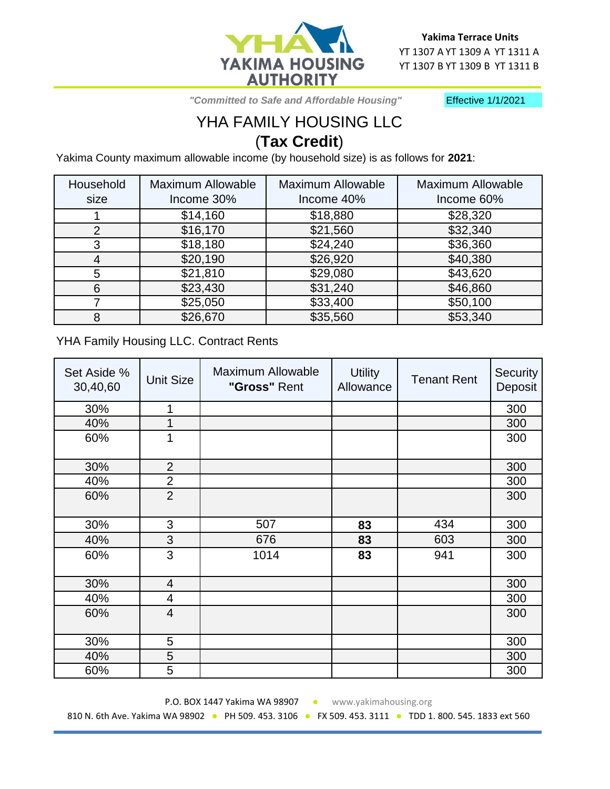

 *"Committed to Safe and Affordable Housing"*

Effective 1/1/2021

## YHA FAMILY HOUSING LLC (**Tax Credit**)

Yakima County maximum allowable income (by household size) is as follows for **2021**:

| Household      | <b>Maximum Allowable</b> | <b>Maximum Allowable</b> | <b>Maximum Allowable</b> |
|----------------|--------------------------|--------------------------|--------------------------|
| size           | Income 30%               | Income 40%               | Income 60%               |
|                | \$14,160                 | \$18,880                 | \$28,320                 |
| $\overline{2}$ | \$16,170                 | \$21,560                 | \$32,340                 |
| 3              | \$18,180                 | \$24,240                 | \$36,360                 |
| 4              | \$20,190                 | \$26,920                 | \$40,380                 |
| 5              | \$21,810                 | \$29,080                 | \$43,620                 |
| 6              | \$23,430                 | \$31,240                 | \$46,860                 |
|                | \$25,050                 | \$33,400                 | \$50,100                 |
| 8              | \$26,670                 | \$35,560                 | \$53,340                 |

YHA Family Housing LLC. Contract Rents

| Set Aside %<br>30,40,60 | <b>Unit Size</b> | <b>Maximum Allowable</b><br>"Gross" Rent | <b>Utility</b><br>Allowance | <b>Tenant Rent</b> | Security<br>Deposit |
|-------------------------|------------------|------------------------------------------|-----------------------------|--------------------|---------------------|
| 30%                     | 1                |                                          |                             |                    | 300                 |
| 40%                     |                  |                                          |                             |                    | 300                 |
| 60%                     | 1                |                                          |                             |                    | 300                 |
| 30%                     | $\overline{2}$   |                                          |                             |                    | 300                 |
| 40%                     | $\overline{2}$   |                                          |                             |                    | 300                 |
| 60%                     | $\overline{2}$   |                                          |                             |                    | 300                 |
| 30%                     | 3                | 507                                      | 83                          | 434                | 300                 |
| 40%                     | 3                | 676                                      | 83                          | 603                | 300                 |
| 60%                     | 3                | 1014                                     | 83                          | 941                | 300                 |
| 30%                     | $\overline{4}$   |                                          |                             |                    | 300                 |
| 40%                     | $\overline{4}$   |                                          |                             |                    | 300                 |
| 60%                     | $\overline{4}$   |                                          |                             |                    | 300                 |
| 30%                     | 5                |                                          |                             |                    | 300                 |
| 40%                     | 5                |                                          |                             |                    | 300                 |
| 60%                     | 5                |                                          |                             |                    | 300                 |

P.O. BOX 1447 Yakima WA 98907 · www.yakimahousing.org 810 N. 6th Ave. Yakima WA 98902 · PH 509. 453. 3106 · FX 509. 453. 3111 · TDD 1. 800. 545. 1833 ext 560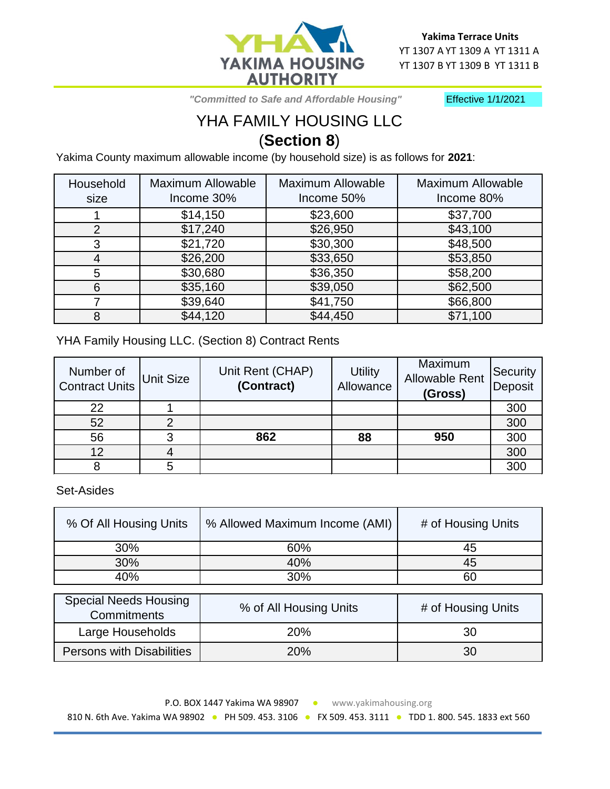

 *"Committed to Safe and Affordable Housing"*

Effective 1/1/2021

## YHA FAMILY HOUSING LLC (**Section 8**)

Yakima County maximum allowable income (by household size) is as follows for **2021**:

| Household | <b>Maximum Allowable</b> | <b>Maximum Allowable</b> | <b>Maximum Allowable</b> |
|-----------|--------------------------|--------------------------|--------------------------|
| size      | Income 30%               | Income 50%               | Income 80%               |
|           | \$14,150                 | \$23,600                 | \$37,700                 |
| 2         | \$17,240                 | \$26,950                 | \$43,100                 |
| 3         | \$21,720                 | \$30,300                 | \$48,500                 |
| 4         | \$26,200                 | \$33,650                 | \$53,850                 |
| 5         | \$30,680                 | \$36,350                 | \$58,200                 |
| 6         | \$35,160                 | \$39,050                 | \$62,500                 |
|           | \$39,640                 | \$41,750                 | \$66,800                 |
| 8         | \$44,120                 | \$44,450                 | \$71,100                 |

YHA Family Housing LLC. (Section 8) Contract Rents

| Number of<br><b>Contract Units</b> | Unit Size | Unit Rent (CHAP)<br>(Contract) | <b>Utility</b><br>Allowance | Maximum<br><b>Allowable Rent</b><br>(Gross) | <b>Security</b><br>Deposit |
|------------------------------------|-----------|--------------------------------|-----------------------------|---------------------------------------------|----------------------------|
| 22                                 |           |                                |                             |                                             | 300                        |
| 52                                 |           |                                |                             |                                             | 300                        |
| 56                                 |           | 862                            | 88                          | 950                                         | 300                        |
| 12                                 |           |                                |                             |                                             | 300                        |
|                                    |           |                                |                             |                                             | 300                        |

Set-Asides

| % Of All Housing Units                      | % Allowed Maximum Income (AMI) | # of Housing Units |
|---------------------------------------------|--------------------------------|--------------------|
| 30%                                         | 60%                            | 45                 |
| 30%                                         | 40%                            | 45                 |
| 40%                                         | 30%                            | 60                 |
|                                             |                                |                    |
| <b>Special Needs Housing</b><br>Commitments | % of All Housing Units         | # of Housing Units |
| Large Households                            | 20%                            | 30                 |
| <b>Persons with Disabilities</b><br>20%     |                                | 30                 |

P.O. BOX 1447 Yakima WA 98907 • www.yakimahousing.org

810 N. 6th Ave. Yakima WA 98902 · PH 509. 453. 3106 · FX 509. 453. 3111 · TDD 1. 800. 545. 1833 ext 560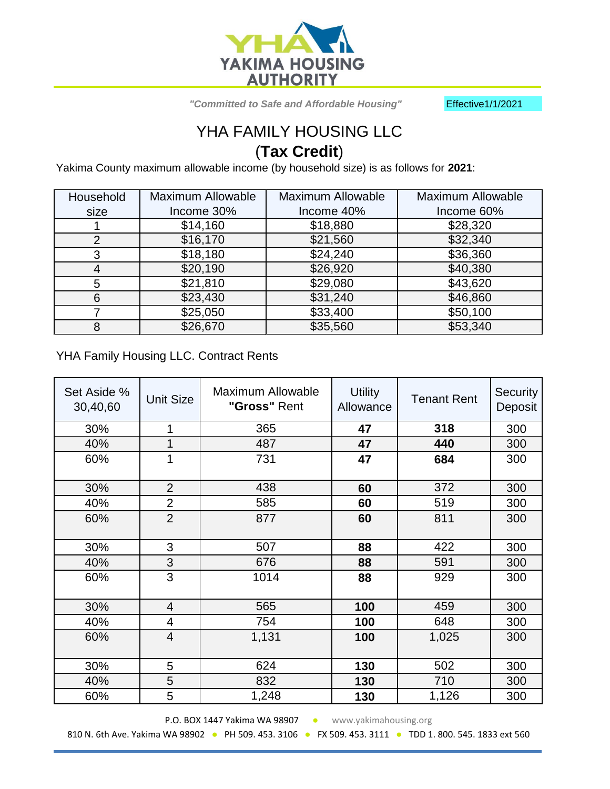

 *"Committed to Safe and Affordable Housing"* Effective1/1/2021

## YHA FAMILY HOUSING LLC (**Tax Credit**)

Yakima County maximum allowable income (by household size) is as follows for **2021**:

| Household | <b>Maximum Allowable</b> | <b>Maximum Allowable</b> | <b>Maximum Allowable</b> |
|-----------|--------------------------|--------------------------|--------------------------|
| size      | Income 30%               | Income 40%               | Income 60%               |
|           | \$14,160                 | \$18,880                 | \$28,320                 |
| 2         | \$16,170                 | \$21,560                 | \$32,340                 |
| 3         | \$18,180                 | \$24,240                 | \$36,360                 |
| 4         | \$20,190                 | \$26,920                 | \$40,380                 |
| 5         | \$21,810                 | \$29,080                 | \$43,620                 |
| 6         | \$23,430                 | \$31,240                 | \$46,860                 |
|           | \$25,050                 | \$33,400                 | \$50,100                 |
| 8         | \$26,670                 | \$35,560                 | \$53,340                 |

YHA Family Housing LLC. Contract Rents

| Set Aside %<br>30,40,60 | <b>Unit Size</b> | Maximum Allowable<br><b>Utility</b><br><b>Tenant Rent</b><br>"Gross" Rent<br>Allowance |     | Security<br>Deposit |     |
|-------------------------|------------------|----------------------------------------------------------------------------------------|-----|---------------------|-----|
| 30%                     | 1                | 365                                                                                    | 47  | 318                 | 300 |
| 40%                     | 1                | 487                                                                                    | 47  | 440                 | 300 |
| 60%                     | 1                | 731                                                                                    | 47  | 684                 | 300 |
| 30%                     | $\overline{2}$   | 438                                                                                    | 60  | 372                 | 300 |
| 40%                     | $\overline{2}$   | 585                                                                                    | 60  | 519                 | 300 |
| 60%                     | $\overline{2}$   | 877                                                                                    | 60  | 811                 | 300 |
| 30%                     | 3                | 507                                                                                    | 88  | 422                 | 300 |
| 40%                     | 3                | 676                                                                                    | 88  | 591                 | 300 |
| 60%                     | 3                | 1014                                                                                   | 88  | 929                 | 300 |
| 30%                     | $\overline{4}$   | 565                                                                                    | 100 | 459                 | 300 |
| 40%                     | 4                | 754                                                                                    | 100 | 648                 | 300 |
| 60%                     | $\overline{4}$   | 1,131                                                                                  | 100 | 1,025               | 300 |
| 30%                     | 5                | 624                                                                                    | 130 | 502                 | 300 |
| 40%                     | 5                | 832                                                                                    | 130 | 710                 | 300 |
| 60%                     | 5                | 1,248                                                                                  | 130 | 1,126               | 300 |

P.O. BOX 1447 Yakima WA 98907 · www.yakimahousing.org 810 N. 6th Ave. Yakima WA 98902 · PH 509. 453. 3106 · FX 509. 453. 3111 · TDD 1. 800. 545. 1833 ext 560